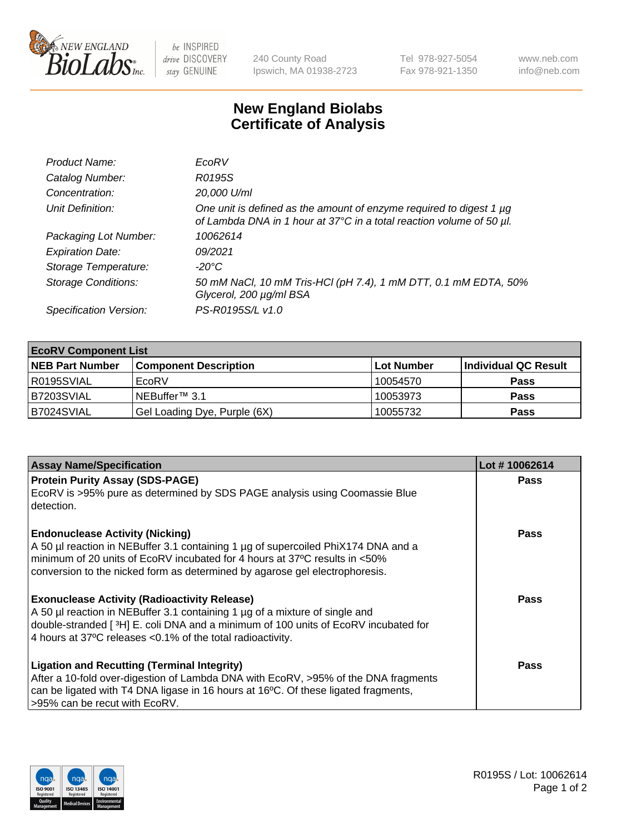

 $be$  INSPIRED drive DISCOVERY stay GENUINE

240 County Road Ipswich, MA 01938-2723 Tel 978-927-5054 Fax 978-921-1350 www.neb.com info@neb.com

## **New England Biolabs Certificate of Analysis**

| Product Name:              | EcoRV                                                                                                                                       |
|----------------------------|---------------------------------------------------------------------------------------------------------------------------------------------|
| Catalog Number:            | R0195S                                                                                                                                      |
| Concentration:             | 20,000 U/ml                                                                                                                                 |
| Unit Definition:           | One unit is defined as the amount of enzyme required to digest 1 µg<br>of Lambda DNA in 1 hour at 37°C in a total reaction volume of 50 µl. |
| Packaging Lot Number:      | 10062614                                                                                                                                    |
| <b>Expiration Date:</b>    | 09/2021                                                                                                                                     |
| Storage Temperature:       | -20°C                                                                                                                                       |
| <b>Storage Conditions:</b> | 50 mM NaCl, 10 mM Tris-HCl (pH 7.4), 1 mM DTT, 0.1 mM EDTA, 50%<br>Glycerol, 200 µg/ml BSA                                                  |
| Specification Version:     | PS-R0195S/L v1.0                                                                                                                            |

| <b>EcoRV Component List</b> |                              |            |                      |  |  |
|-----------------------------|------------------------------|------------|----------------------|--|--|
| <b>NEB Part Number</b>      | <b>Component Description</b> | Lot Number | Individual QC Result |  |  |
| R0195SVIAL                  | EcoRV                        | 10054570   | <b>Pass</b>          |  |  |
| B7203SVIAL                  | INEBuffer™ 3.1               | 10053973   | <b>Pass</b>          |  |  |
| B7024SVIAL                  | Gel Loading Dye, Purple (6X) | 10055732   | <b>Pass</b>          |  |  |

| <b>Assay Name/Specification</b>                                                                                                                                                                                                                                                            | Lot #10062614 |
|--------------------------------------------------------------------------------------------------------------------------------------------------------------------------------------------------------------------------------------------------------------------------------------------|---------------|
| <b>Protein Purity Assay (SDS-PAGE)</b><br>EcoRV is >95% pure as determined by SDS PAGE analysis using Coomassie Blue<br>detection.                                                                                                                                                         | <b>Pass</b>   |
| <b>Endonuclease Activity (Nicking)</b><br>A 50 µl reaction in NEBuffer 3.1 containing 1 µg of supercoiled PhiX174 DNA and a<br>I minimum of 20 units of EcoRV incubated for 4 hours at 37°C results in <50%<br>conversion to the nicked form as determined by agarose gel electrophoresis. | Pass          |
| <b>Exonuclease Activity (Radioactivity Release)</b><br>A 50 µl reaction in NEBuffer 3.1 containing 1 µg of a mixture of single and<br>double-stranded [3H] E. coli DNA and a minimum of 100 units of EcoRV incubated for<br>4 hours at 37°C releases < 0.1% of the total radioactivity.    | Pass          |
| <b>Ligation and Recutting (Terminal Integrity)</b><br>After a 10-fold over-digestion of Lambda DNA with EcoRV, >95% of the DNA fragments<br>can be ligated with T4 DNA ligase in 16 hours at 16 <sup>o</sup> C. Of these ligated fragments,<br>-95% can be recut with EcoRV.               | Pass          |